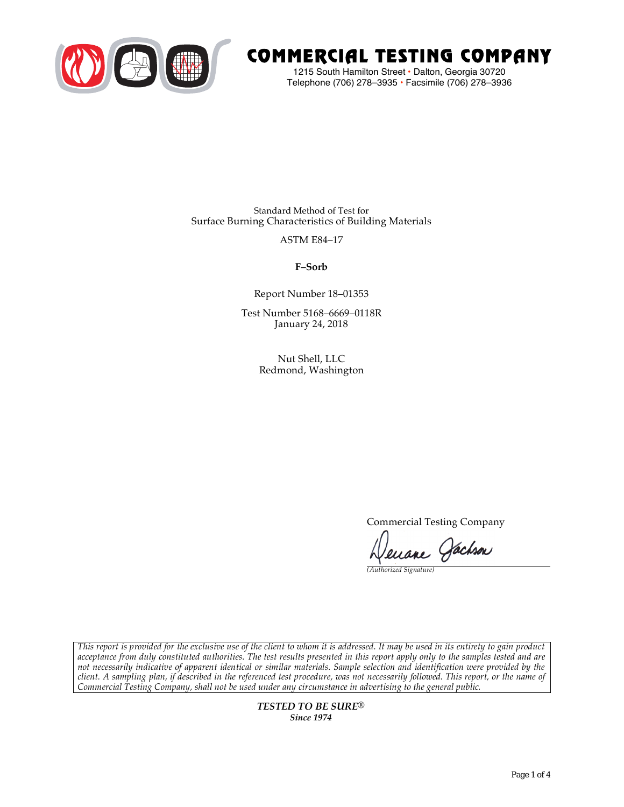

# COMMERCIAL TESTING COMPANY

1215 South Hamilton Street • Dalton, Georgia 30720 Telephone (706) 278–3935 **•** Facsimile (706) 278–3936

Standard Method of Test for Surface Burning Characteristics of Building Materials

ASTM E84–17

**F–Sorb**

Report Number 18–01353

Test Number 5168–6669–0118R January 24, 2018

> Nut Shell, LLC Redmond, Washington

> > Commercial Testing Company

Lenane Jachson

*(Authorized Signature)* 

*This report is provided for the exclusive use of the client to whom it is addressed. It may be used in its entirety to gain product acceptance from duly constituted authorities. The test results presented in this report apply only to the samples tested and are not necessarily indicative of apparent identical or similar materials. Sample selection and identification were provided by the client. A sampling plan, if described in the referenced test procedure, was not necessarily followed. This report, or the name of Commercial Testing Company, shall not be used under any circumstance in advertising to the general public.* 

> *TESTED TO BE SURE® Since 1974*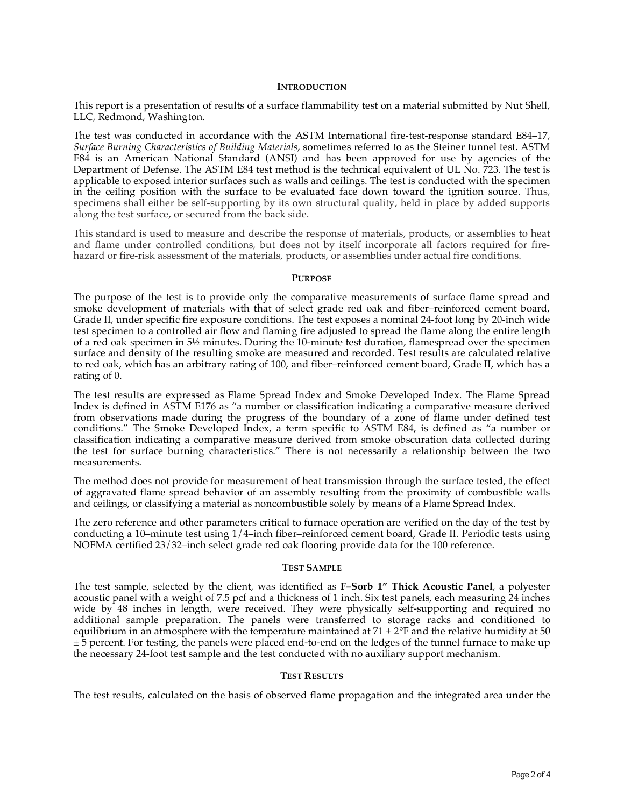# **INTRODUCTION**

This report is a presentation of results of a surface flammability test on a material submitted by Nut Shell, LLC, Redmond, Washington.

The test was conducted in accordance with the ASTM International fire-test-response standard E84–17, *Surface Burning Characteristics of Building Materials*, sometimes referred to as the Steiner tunnel test. ASTM E84 is an American National Standard (ANSI) and has been approved for use by agencies of the Department of Defense. The ASTM E84 test method is the technical equivalent of UL No. 723. The test is applicable to exposed interior surfaces such as walls and ceilings. The test is conducted with the specimen in the ceiling position with the surface to be evaluated face down toward the ignition source. Thus, specimens shall either be self-supporting by its own structural quality, held in place by added supports along the test surface, or secured from the back side.

This standard is used to measure and describe the response of materials, products, or assemblies to heat and flame under controlled conditions, but does not by itself incorporate all factors required for firehazard or fire-risk assessment of the materials, products, or assemblies under actual fire conditions.

# **PURPOSE**

The purpose of the test is to provide only the comparative measurements of surface flame spread and smoke development of materials with that of select grade red oak and fiber–reinforced cement board, Grade II, under specific fire exposure conditions. The test exposes a nominal 24-foot long by 20-inch wide test specimen to a controlled air flow and flaming fire adjusted to spread the flame along the entire length of a red oak specimen in 5½ minutes. During the 10-minute test duration, flamespread over the specimen surface and density of the resulting smoke are measured and recorded. Test results are calculated relative to red oak, which has an arbitrary rating of 100, and fiber–reinforced cement board, Grade II, which has a rating of 0.

The test results are expressed as Flame Spread Index and Smoke Developed Index. The Flame Spread Index is defined in ASTM E176 as "a number or classification indicating a comparative measure derived from observations made during the progress of the boundary of a zone of flame under defined test conditions." The Smoke Developed Index, a term specific to ASTM E84, is defined as "a number or classification indicating a comparative measure derived from smoke obscuration data collected during the test for surface burning characteristics." There is not necessarily a relationship between the two measurements.

The method does not provide for measurement of heat transmission through the surface tested, the effect of aggravated flame spread behavior of an assembly resulting from the proximity of combustible walls and ceilings, or classifying a material as noncombustible solely by means of a Flame Spread Index.

The zero reference and other parameters critical to furnace operation are verified on the day of the test by conducting a 10–minute test using 1/4–inch fiber–reinforced cement board, Grade II. Periodic tests using NOFMA certified 23/32–inch select grade red oak flooring provide data for the 100 reference.

# **TEST SAMPLE**

The test sample, selected by the client, was identified as **F–Sorb 1" Thick Acoustic Panel**, a polyester acoustic panel with a weight of 7.5 pcf and a thickness of 1 inch. Six test panels, each measuring 24 inches wide by 48 inches in length, were received. They were physically self-supporting and required no additional sample preparation. The panels were transferred to storage racks and conditioned to equilibrium in an atmosphere with the temperature maintained at  $71 \pm 2$ °F and the relative humidity at 50  $\pm$  5 percent. For testing, the panels were placed end-to-end on the ledges of the tunnel furnace to make up the necessary 24-foot test sample and the test conducted with no auxiliary support mechanism.

# **TEST RESULTS**

The test results, calculated on the basis of observed flame propagation and the integrated area under the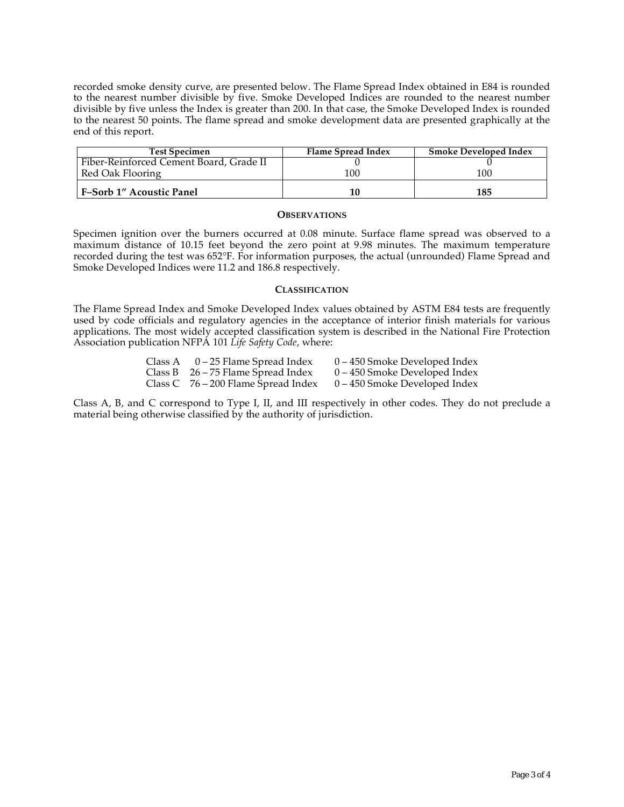recorded smoke density curve, are presented below. The Flame Spread Index obtained in E84 is rounded to the nearest number divisible by five. Smoke Developed Indices are rounded to the nearest number divisible by five unless the Index is greater than 200. In that case, the Smoke Developed Index is rounded to the nearest 50 points. The flame spread and smoke development data are presented graphically at the end of this report.

| <b>Test Specimen</b>                    | <b>Flame Spread Index</b> | <b>Smoke Developed Index</b> |
|-----------------------------------------|---------------------------|------------------------------|
| Fiber-Reinforced Cement Board, Grade II |                           |                              |
| Red Oak Flooring                        | 100                       | 100                          |
| <b>F-Sorb 1" Acoustic Panel</b>         | 10                        | 185                          |

#### **OBSERVATIONS**

Specimen ignition over the burners occurred at 0.08 minute. Surface flame spread was observed to a maximum distance of 10.15 feet beyond the zero point at 9.98 minutes. The maximum temperature recorded during the test was 652°F. For information purposes, the actual (unrounded) Flame Spread and Smoke Developed Indices were 11.2 and 186.8 respectively.

# **CLASSIFICATION**

The Flame Spread Index and Smoke Developed Index values obtained by ASTM E84 tests are frequently used by code officials and regulatory agencies in the acceptance of interior finish materials for various applications. The most widely accepted classification system is described in the National Fire Protection Association publication NFPA 101 *Life Safety Code*, where:

| Class A | 0 – 25 Flame Spread Index             | $0 - 450$ Smoke Developed Index |
|---------|---------------------------------------|---------------------------------|
|         | Class B $26 - 75$ Flame Spread Index  | $0 - 450$ Smoke Developed Index |
|         | Class C $76 - 200$ Flame Spread Index | $0-450$ Smoke Developed Index   |

Class A, B, and C correspond to Type I, II, and III respectively in other codes. They do not preclude a material being otherwise classified by the authority of jurisdiction.